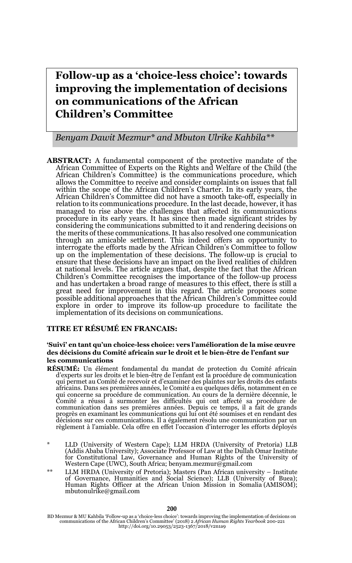# **Follow-up as a 'choice-less choice': towards improving the implementation of decisions on communications of the African Children's Committee**

#### *Benyam Dawit Mezmur\* and Mbuton Ulrike Kahbila\*\**

**ABSTRACT:** A fundamental component of the protective mandate of the African Committee of Experts on the Rights and Welfare of the Child (the African Children's Committee) is the communications procedure, which allows the Committee to receive and consider complaints on issues that fall within the scope of the African Children's Charter. In its early years, the African Children's Committee did not have a smooth take-off, especially in relation to its communications procedure. In the last decade, however, it has managed to rise above the challenges that affected its communications procedure in its early years. It has since then made significant strides by considering the communications submitted to it and rendering decisions on the merits of these communications. It has also resolved one communication through an amicable settlement. This indeed offers an opportunity to interrogate the efforts made by the African Children's Committee to follow up on the implementation of these decisions. The follow-up is crucial to ensure that these decisions have an impact on the lived realities of children at national levels. The article argues that, despite the fact that the African Children's Committee recognises the importance of the follow-up process and has undertaken a broad range of measures to this effect, there is still a great need for improvement in this regard. The article proposes some possible additional approaches that the African Children's Committee could explore in order to improve its follow-up procedure to facilitate the implementation of its decisions on communications.

#### **TITRE ET RÉSUMÉ EN FRANCAIS:**

#### **'Suivi' en tant qu'un choice-less choice: vers l'amélioration de la mise œuvre des décisions du Comité africain sur le droit et le bien-être de l'enfant sur les communications**

- **RÉSUMÉ:** Un élément fondamental du mandat de protection du Comité africain d'experts sur les droits et le bien-être de l'enfant est la procédure de communication qui permet au Comité de recevoir et d'examiner des plaintes sur les droits des enfants africains. Dans ses premières années, le Comité a eu quelques défis, notamment en ce qui concerne sa procédure de communication. Au cours de la dernière décennie, le Comité a réussi à surmonter les difficultés qui ont affecté sa procédure de communication dans ses premières années. Depuis ce temps, il a fait de grands progrès en examinant les communications qui lui ont été soumises et en rendant des décisions sur ces communications. Il a également résolu une communication par un règlement à l'amiable. Cela offre en effet l'occasion d'interroger les efforts déployés
- \* LLD (University of Western Cape); LLM HRDA (University of Pretoria) LLB (Addis Ababa University); Associate Professor of Law at the Dullah Omar Institute for Constitutional Law, Governance and Human Rights of the Univers Western Cape (UWC), South Africa; benyam.mezmur@gmail.com
- \*\* LLM HRDA (University of Pretoria); Masters (Pan African university Institute of Governance, Humanities and Social Science); LLB (University of Buea); Human Rights Officer at the African Union Mission in Somalia (AMISOM); mbutonulrike@gmail.com

BD Mezmur & MU Kahbila 'Follow-up as a 'choice-less choice': towards improving the implementation of decisions on communications of the African Children's Committee' (2018) 2 *African Human Rights Yearbook* 200-221 http://doi.org/10.29053/2523-1367/2018/v2n1a9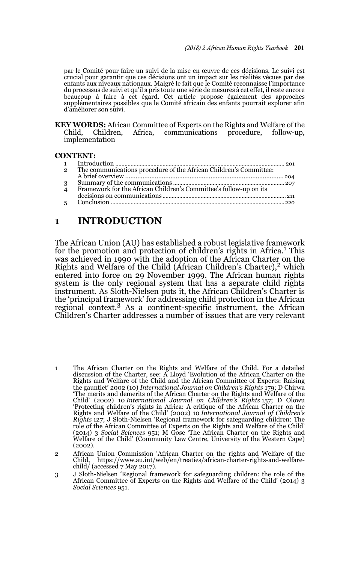par le Comité pour faire un suivi de la mise en œuvre de ces décisions. Le suivi est crucial pour garantir que ces décisions ont un impact sur les réalités vécues par des enfants aux niveaux nationaux. Malgré le fait que le Comité reconnaisse l'importance du processus de suivi et qu'il a pris toute une série de mesures à cet effet, il reste encore beaucoup à faire à cet égard. Cet article propose également des approches supplémentaires possibles que le Comité africain des enfants pourrait explorer afin d'améliorer son suivi.

**KEY WORDS:** African Committee of Experts on the Rights and Welfare of the Child, Children, Africa, communications procedure, follow-up, Child, Children, Africa, communications procedure, follow-up, implementation

#### **CONTENT:**

| $\overline{2}$ | The communications procedure of the African Children's Committee: |  |
|----------------|-------------------------------------------------------------------|--|
|                |                                                                   |  |
| 3 <sup>7</sup> |                                                                   |  |
| $\overline{4}$ | Framework for the African Children's Committee's follow-up on its |  |
|                |                                                                   |  |
|                |                                                                   |  |
|                |                                                                   |  |

## **1 INTRODUCTION**

The African Union (AU) has established a robust legislative framework for the promotion and protection of children's rights in Africa.<sup>1</sup> This was achieved in 1990 with the adoption of the African Charter on the Rights and Welfare of the Child (African Children's Charter), $2$  which entered into force on 29 November 1999. The African human rights system is the only regional system that has a separate child rights instrument. As Sloth-Nielsen puts it, the African Children's Charter is the 'principal framework' for addressing child protection in the African regional context.3 As a continent-specific instrument, the African Children's Charter addresses a number of issues that are very relevant

- 1 The African Charter on the Rights and Welfare of the Child. For a detailed discussion of the Charter, see: A Lloyd 'Evolution of the African Charter on the Rights and Welfare of the Child and the African Committee of Experts: Raising the gauntlet' 2002 (10) *International Journal on Children's Rights* 179; D Chirwa 'The merits and demerits of the African Charter on the Rights and Welfare of the Child' (2002) 10 *International Journal on Children's Rights* 157; D Olowu 'Protecting children's rights in Africa: A critique of the African Charter on the Rights and Welfare of the Child' (2002) 10 *International Journal of Children's Rights* 127; J Sloth-Nielsen 'Regional framework for safeguarding children: The role of the African Committee of Experts on the Rights and Welfare of the Child' (2014) 3 *Social Sciences* 951; M Gose 'The African Charter on the Rights and Welfare of the Child' (Community Law Centre, University of the Western Cape) (2002).
- 2 African Union Commission 'African Charter on the rights and Welfare of the Child, https://www.au.int/web/en/treaties/african-charter-rights-and-welfarechild/ (accessed 7 May 2017).
- 3 J Sloth-Nielsen 'Regional framework for safeguarding children: the role of the African Committee of Experts on the Rights and Welfare of the Child' (2014) 3 *Social Sciences* 951.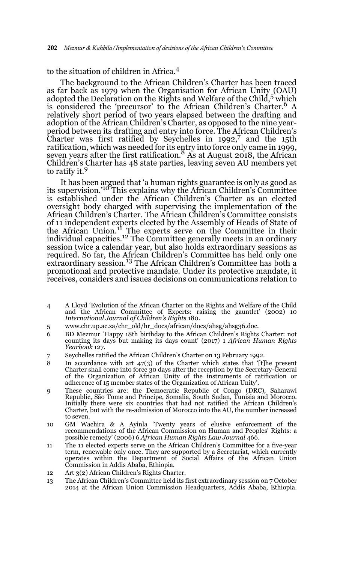### to the situation of children in Africa.<sup>4</sup>

The background to the African Children's Charter has been traced as far back as 1979 when the Organisation for African Unity (OAU) adopted the Declaration on the Rights and Welfare of the Child,<sup>5</sup> which is considered the 'precursor' to the African Children's Charter.<sup>6</sup> A relatively short period of two years elapsed between the drafting and adoption of the African Children's Charter, as opposed to the nine yearperiod between its drafting and entry into force. The African Children's Charter was first ratified by Seychelles in 1992,7 and the 15th ratification, which was needed for its entry into force only came in 1999, seven years after the first ratification.8 As at August 2018, the African Children's Charter has 48 state parties, leaving seven AU members yet to ratify it.<sup>9</sup>

It has been argued that 'a human rights guarantee is only as good as its supervision.<sup>'10</sup> This explains why the African Children's Committee is established under the African Children's Charter as an elected oversight body charged with supervising the implementation of the African Children's Charter. The African Children's Committee consists of 11 independent experts elected by the Assembly of Heads of State of<br>the African Union.<sup>11</sup> The experts serve on the Committee in their individual capacities.<sup>12</sup> The Committee generally meets in an ordinary session twice a calendar year, but also holds extraordinary sessions as required. So far, the African Children's Committee has held only one extraordinary session.<sup>13</sup> The African Children's Committee has both a promotional and protective mandate. Under its protective mandate, it receives, considers and issues decisions on communications relation to

- 4 A Lloyd 'Evolution of the African Charter on the Rights and Welfare of the Child and the African Committee of Experts: raising the gauntlet' (2002) 10 *International Journal of Children's Rights* 180.
- 5 www.chr.up.ac.za/chr\_old/hr\_docs/african/docs/ahsg/ahsg36.doc.
- 6 BD Mezmur 'Happy 18th birthday to the African Children's Rights Charter: not counting its days but making its days count' (2017) 1 *African Human Rights Yearbook* 127.
- 7 Seychelles ratified the African Children's Charter on 13 February 1992.
- 8 In accordance with art 47(3) of the Charter which states that '[t]he present Charter shall come into force 30 days after the reception by the Secretary-General of the Organization of African Unity of the instruments of ratification or adherence of 15 member states of the Organization of African Unity'.
- 9 These countries are: the Democratic Republic of Congo (DRC), Saharawi Republic, São Tome and Principe, Somalia, South Sudan, Tunisia and Morocco. Initially there were six countries that had not ratified the African Children's Charter, but with the re-admission of Morocco into the AU, the number increased to seven.
- 10 GM Wachira & A Ayinla 'Twenty years of elusive enforcement of the recommendations of the African Commission on Human and Peoples' Rights: a possible remedy' (2006) 6 *African Human Rights Law Journal* 466.
- 11 The 11 elected experts serve on the African Children's Committee for a five-year term, renewable only once. They are supported by a Secretariat, which currently operates within the Department of Social Affairs of the African Union Commission in Addis Ababa, Ethiopia.
- 12 Art 3(2) African Children's Rights Charter.
- 13 The African Children's Committee held its first extraordinary session on 7 October 2014 at the African Union Commission Headquarters, Addis Ababa, Ethiopia.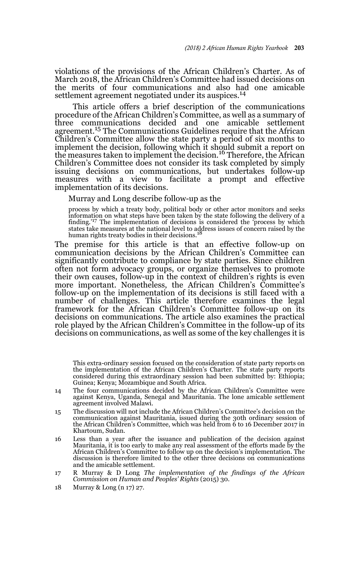violations of the provisions of the African Children's Charter. As of March 2018, the African Children's Committee had issued decisions on the merits of four communications and also had one amicable settlement agreement negotiated under its auspices.<sup>14</sup>

 This article offers a brief description of the communications procedure of the African Children's Committee, as well as a summary of three communications decided and one amicable settlement agreement.15 The Communications Guidelines require that the African Children's Committee allow the state party a period of six months to implement the decision, following which it should submit a report on the measures taken to implement the decision.<sup>16</sup> Therefore, the African Children's Committee does not consider its task completed by simply issuing decisions on communications, but undertakes follow-up measures with a view to facilitate a prompt and effective implementation of its decisions.

Murray and Long describe follow-up as the

process by which a treaty body, political body or other actor monitors and seeks information on what steps have been taken by the state following the delivery of a finding.'17 The implementation of decisions is considered the 'process by which states take measures at the national level to address issues of concern raised by the human rights treaty bodies in their decisions.<sup>18</sup>

The premise for this article is that an effective follow-up on communication decisions by the African Children's Committee can significantly contribute to compliance by state parties. Since children often not form advocacy groups, or organize themselves to promote their own causes, follow-up in the context of children's rights is even more important. Nonetheless, the African Children's Committee's follow-up on the implementation of its decisions is still faced with a number of challenges. This article therefore examines the legal framework for the African Children's Committee follow-up on its decisions on communications. The article also examines the practical role played by the African Children's Committee in the follow-up of its decisions on communications, as well as some of the key challenges it is

This extra-ordinary session focused on the consideration of state party reports on the implementation of the African Children's Charter. The state party reports considered during this extraordinary session had been submitted by: Ethiopia; Guinea; Kenya; Mozambique and South Africa.

- 14 The four communications decided by the African Children's Committee were against Kenya, Uganda, Senegal and Mauritania. The lone amicable settlement agreement involved Malawi.
- 15 The discussion will not include the African Children's Committee's decision on the communication against Mauritania, issued during the 30th ordinary session of the African Children's Committee, which was held from 6 to 16 December 2017 in Khartoum, Sudan.
- 16 Less than a year after the issuance and publication of the decision against Mauritania, it is too early to make any real assessment of the efforts made by the African Children's Committee to follow up on the decision's implementation. The discussion is therefore limited to the other three decisions on communications and the amicable settlement.
- 17 R Murray & D Long *The implementation of the findings of the African Commission on Human and Peoples' Rights* (2015) 30.
- 18 Murray & Long (n 17) 27.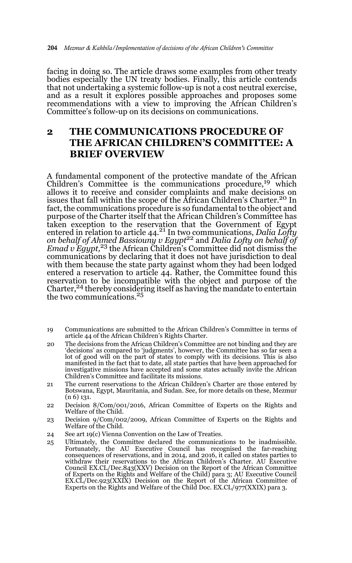facing in doing so. The article draws some examples from other treaty bodies especially the UN treaty bodies. Finally, this article contends that not undertaking a systemic follow-up is not a cost neutral exercise, and as a result it explores possible approaches and proposes some recommendations with a view to improving the African Children's Committee's follow-up on its decisions on communications.

## **2 THE COMMUNICATIONS PROCEDURE OF THE AFRICAN CHILDREN'S COMMITTEE: A BRIEF OVERVIEW**

A fundamental component of the protective mandate of the African Children's Committee is the communications procedure,<sup>19</sup> which allows it to receive and consider complaints and make decisions on issues that fall within the scope of the African Children's Charter.<sup>20</sup> In fact, the communications procedure is so fundamental to the object and purpose of the Charter itself that the African Children's Committee has taken exception to the reservation that the Government of Egypt entered in relation to article 44.21 In two communications, *Dalia Lofty on behalf of Ahmed Bassiouny v Egypt*22 and *Dalia Lofty on behalf of Emad v Egypt,*<sup>23</sup> the African Children's Committee did not dismiss the communications by declaring that it does not have jurisdiction to deal with them because the state party against whom they had been lodged entered a reservation to article 44. Rather, the Committee found this reservation to be incompatible with the object and purpose of the Charter,24 thereby considering itself as having the mandate to entertain the two communications.<sup>25</sup>

- 19 Communications are submitted to the African Children's Committee in terms of article 44 of the African Children's Rights Charter.
- 20 The decisions from the African Children's Committee are not binding and they are 'decisions' as compared to 'judgments', however, the Committee has so far seen a lot of good will on the part of states to comply with its decisions. This is also manifested in the fact that to date, all state parties that have been approached for investigative missions have accepted and some states actually invite the African Children's Committee and facilitate its missions.
- 21 The current reservations to the African Children's Charter are those entered by Botswana, Egypt, Mauritania, and Sudan. See, for more details on these, Mezmur  $(n 6)$  131.
- 22 Decision 8/Com/001/2016, African Committee of Experts on the Rights and Welfare of the Child.
- 23 Decision 9/Com/002/2009, African Committee of Experts on the Rights and Welfare of the Child.
- 24 See art 19(c) Vienna Convention on the Law of Treaties.
- 25 Ultimately, the Committee declared the communications to be inadmissible. Fortunately, the AU Executive Council has recognised the far-reaching consequences of reservations, and in 2014, and 2016, it called on states parties to withdraw their reservations to the African Children's Charter. AU Executive Council EX.CL/Dec.843(XXV) Decision on the Report of the African Committee of Experts on the Rights and Welfare of the Child) para 3; AU Executive Council EX.CL/Dec.923(XXIX) Decision on the Report of the African Committee of Experts on the Rights and Welfare of the Child Doc. EX.CL/977(XXIX) para 3.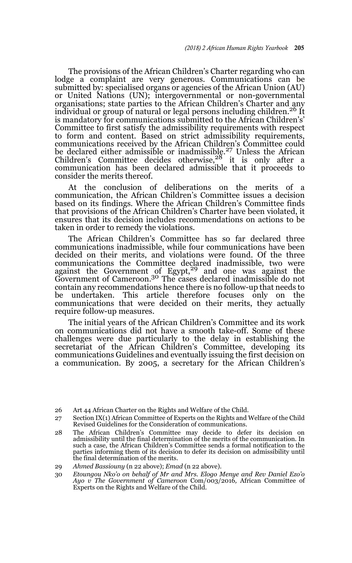The provisions of the African Children's Charter regarding who can lodge a complaint are very generous. Communications can be submitted by: specialised organs or agencies of the African Union (AU) or United Nations (UN); intergovernmental or non-governmental organisations; state parties to the African Children's Charter and any individual or group of natural or legal persons including children.<sup>26</sup> It is mandatory for communications submitted to the African Children's' Committee to first satisfy the admissibility requirements with respect to form and content. Based on strict admissibility requirements, communications received by the African Children's Committee could be declared either admissible or inadmissible.<sup>27</sup> Unless the African Children's Committee decides otherwise,<sup>28</sup> it is only after a communication has been declared admissible that it proceeds to consider the merits thereof.

At the conclusion of deliberations on the merits of a communication, the African Children's Committee issues a decision based on its findings. Where the African Children's Committee finds that provisions of the African Children's Charter have been violated, it ensures that its decision includes recommendations on actions to be taken in order to remedy the violations.

The African Children's Committee has so far declared three communications inadmissible, while four communications have been decided on their merits, and violations were found. Of the three communications the Committee declared inadmissible, two were against the Government of Egypt,<sup>29</sup> and one was against the Government of Cameroon.30 The cases declared inadmissible do not contain any recommendations hence there is no follow-up that needs to be undertaken. This article therefore focuses only on the communications that were decided on their merits, they actually require follow-up measures.

The initial years of the African Children's Committee and its work on communications did not have a smooth take-off. Some of these challenges were due particularly to the delay in establishing the secretariat of the African Children's Committee, developing its communications Guidelines and eventually issuing the first decision on a communication. By 2005, a secretary for the African Children's

<sup>26</sup> Art 44 African Charter on the Rights and Welfare of the Child.

<sup>27</sup> Section IX(1) African Committee of Experts on the Rights and Welfare of the Child Revised Guidelines for the Consideration of communications.

<sup>28</sup> The African Children's Committee may decide to defer its decision on admissibility until the final determination of the merits of the communication. In such a case, the African Children's Committee sends a formal notification to the parties informing them of its decision to defer its decision on admissibility until the final determination of the merits.

<sup>29</sup> *Ahmed Bassiouny* (n 22 above); *Emad* (n 22 above)*.*

<sup>30</sup> *Etoungou Nko'o on behalf of Mr and Mrs. Elogo Menye and Rev Daniel Ezo'o Ayo v The Government of Cameroon* Com/003/2016*,* African Committee of Experts on the Rights and Welfare of the Child.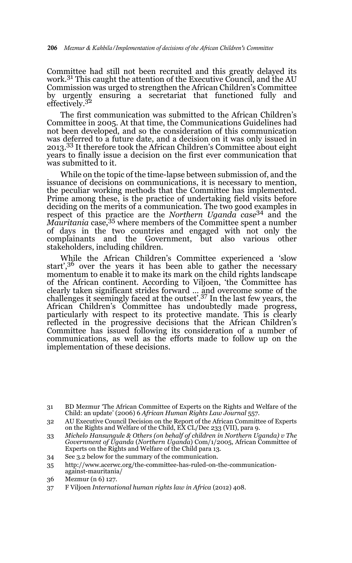Committee had still not been recruited and this greatly delayed its work.<sup>31</sup> This caught the attention of the Executive Council, and the AU Commission was urged to strengthen the African Children's Committee by urgently ensuring a secretariat that functioned fully and effectively.<sup>32</sup>

The first communication was submitted to the African Children's Committee in 2005. At that time, the Communications Guidelines had not been developed, and so the consideration of this communication was deferred to a future date, and a decision on it was only issued in 2013.<sup>33</sup> It therefore took the African Children's Committee about eight years to finally issue a decision on the first ever communication that was submitted to it.

While on the topic of the time-lapse between submission of, and the issuance of decisions on communications, it is necessary to mention, the peculiar working methods that the Committee has implemented. Prime among these, is the practice of undertaking field visits before deciding on the merits of a communication. The two good examples in respect of this practice are the *Northern Uganda case*34 and the *Mauritania* case,35 where members of the Committee spent a number of days in the two countries and engaged with not only the complainants and the Government, but also various other stakeholders, including children.

While the African Children's Committee experienced a 'slow start',<sup>36</sup> over the years it has been able to gather the necessary momentum to enable it to make its mark on the child rights landscape of the African continent. According to Viljoen, 'the Committee has clearly taken significant strides forward ... and overcome some of the challenges it seemingly faced at the outset'.37 In the last few years, the African Children's Committee has undoubtedly made progress, particularly with respect to its protective mandate. This is clearly reflected in the progressive decisions that the African Children's Committee has issued following its consideration of a number of communications, as well as the efforts made to follow up on the implementation of these decisions.

- 34 See 3.2 below for the summary of the communication.
- 35 http://www.acerwc.org/the-committee-has-ruled-on-the-communicationagainst-mauritania/
- 36 Mezmur (n 6) 127.
- 37 F Viljoen *International human rights law in Africa* (2012) 408.

<sup>31</sup> BD Mezmur 'The African Committee of Experts on the Rights and Welfare of the Child: an update' (2006) 6 *African Human Rights Law Journal* 557.

<sup>32</sup> AU Executive Council Decision on the Report of the African Committee of Experts on the Rights and Welfare of the Child, EX CL/Dec 233 (VII), para 9.

<sup>33</sup> *Michelo Hansungule & Others (on behalf of children in Northern Uganda) v The Government of Uganda* (*Northern Uganda*) Com/1/2005, African Committee of Experts on the Rights and Welfare of the Child para 13.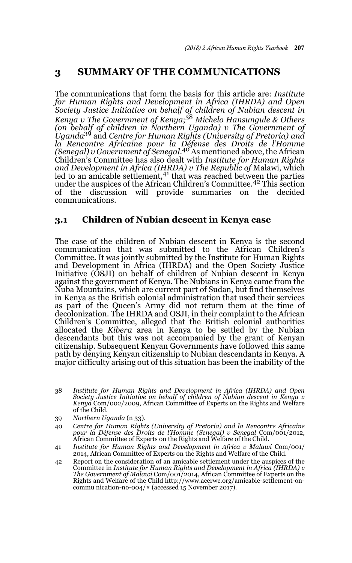## **3 SUMMARY OF THE COMMUNICATIONS**

The communications that form the basis for this article are: *Institute for Human Rights and Development in Africa (IHRDA) and Open Society Justice Initiative on behalf of children of Nubian descent in Kenya v The Government of Kenya*; <sup>38</sup> *Michelo Hansungule & Others (on behalf of children in Northern Uganda) v The Government of Uganda*39 and *Centre for Human Rights (University of Pretoria) and la Rencontre Africaine pour la Défense des Droits de l'Homme (Senegal) v Government of Senegal*. 40 As mentioned above, the African Children's Committee has also dealt with *Institute for Human Rights and Development in Africa (IHRDA) v The Republic of* Malawi, which led to an amicable settlement,<sup>41</sup> that was reached between the parties under the auspices of the African Children's Committee.42 This section of the discussion will provide summaries on the decided communications.

### **3.1 Children of Nubian descent in Kenya case**

The case of the children of Nubian descent in Kenya is the second communication that was submitted to the African Children's Committee. It was jointly submitted by the Institute for Human Rights and Development in Africa (IHRDA) and the Open Society Justice Initiative (OSJI) on behalf of children of Nubian descent in Kenya against the government of Kenya. The Nubians in Kenya came from the Nuba Mountains, which are current part of Sudan, but find themselves in Kenya as the British colonial administration that used their services as part of the Queen's Army did not return them at the time of decolonization. The IHRDA and OSJI, in their complaint to the African Children's Committee, alleged that the British colonial authorities allocated the *Kibera* area in Kenya to be settled by the Nubian descendants but this was not accompanied by the grant of Kenyan citizenship. Subsequent Kenyan Governments have followed this same path by denying Kenyan citizenship to Nubian descendants in Kenya. A major difficulty arising out of this situation has been the inability of the

- 40 *Centre for Human Rights (University of Pretoria) and la Rencontre Africaine pour la Défense des Droits de l'Homme (Senegal) v Senegal* Com/001/2012, African Committee of Experts on the Rights and Welfare of the Child.
- 41 *Institute for Human Rights and Development in Africa v Malawi* Com/001/ 2014, African Committee of Experts on the Rights and Welfare of the Child.
- 42 Report on the consideration of an amicable settlement under the auspices of the Committee in *Institute for Human Rights and Development in Africa (IHRDA) v The Government of Malawi* Com/001/2014, African Committee of Experts on the Rights and Welfare of the Child http://www.acerwc.org/amicable-settlement-oncommu nication-no-004/# (accessed 15 November 2017).

<sup>38</sup> *Institute for Human Rights and Development in Africa (IHRDA) and Open Society Justice Initiative on behalf of children of Nubian descent in Kenya v Kenya* Com/002/2009, African Committee of Experts on the Rights and Welfare of the Child.

<sup>39</sup> *Northern Uganda* (n 33).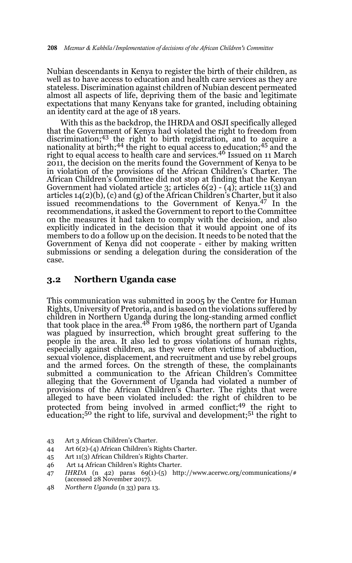Nubian descendants in Kenya to register the birth of their children, as well as to have access to education and health care services as they are stateless. Discrimination against children of Nubian descent permeated almost all aspects of life, depriving them of the basic and legitimate expectations that many Kenyans take for granted, including obtaining an identity card at the age of 18 years.

With this as the backdrop, the IHRDA and OSJI specifically alleged that the Government of Kenya had violated the right to freedom from discrimination;43 the right to birth registration, and to acquire a nationality at birth;<sup>44</sup> the right to equal access to education;<sup>45</sup> and the right to equal access to health care and services.<sup>46</sup> Issued on 11 March 2011, the decision on the merits found the Government of Kenya to be in violation of the provisions of the African Children's Charter. The African Children's Committee did not stop at finding that the Kenyan Government had violated article 3; articles 6(2) - (4); article 11(3) and articles 14(2)(b), (c) and (g) of the African Children's Charter, but it also issued recommendations to the Government of Kenya.<sup>47</sup> In the recommendations, it asked the Government to report to the Committee on the measures it had taken to comply with the decision, and also explicitly indicated in the decision that it would appoint one of its members to do a follow up on the decision. It needs to be noted that the Government of Kenya did not cooperate - either by making written submissions or sending a delegation during the consideration of the case.

#### **3.2 Northern Uganda case**

This communication was submitted in 2005 by the Centre for Human Rights, University of Pretoria, and is based on the violations suffered by children in Northern Uganda during the long-standing armed conflict<br>that took place in the area.<sup>48</sup> From 1986, the northern part of Uganda was plagued by insurrection, which brought great suffering to the people in the area. It also led to gross violations of human rights, especially against children, as they were often victims of abduction, sexual violence, displacement, and recruitment and use by rebel groups and the armed forces. On the strength of these, the complainants submitted a communication to the African Children's Committee alleging that the Government of Uganda had violated a number of provisions of the African Children's Charter. The rights that were alleged to have been violated included: the right of children to be protected from being involved in armed conflict;49 the right to education;<sup>50</sup> the right to life, survival and development;<sup>51</sup> the right to

- 43 Art 3 African Children's Charter.
- 44 Art 6(2)-(4) African Children's Rights Charter.
- 45 Art 11(3) African Children's Rights Charter.
- 46 Art 14 African Children's Rights Charter.
- 47 *IHRDA* (n 42) paras 69(1)-(5) http://www.acerwc.org/communications/# (accessed 28 November 2017).
- 48 *Northern Uganda* (n 33) para 13.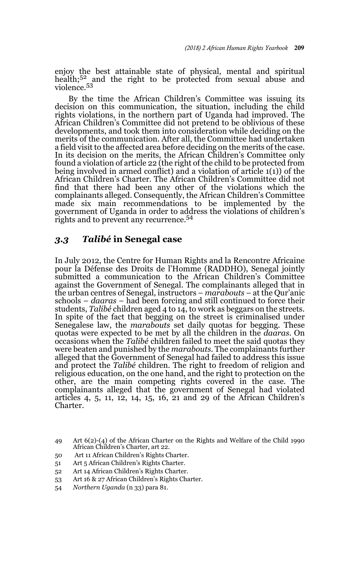enjoy the best attainable state of physical, mental and spiritual health;<sup>52</sup> and the right to be protected from sexual abuse and violence.<sup>53</sup>

By the time the African Children's Committee was issuing its decision on this communication, the situation, including the child rights violations, in the northern part of Uganda had improved. The African Children's Committee did not pretend to be oblivious of these developments, and took them into consideration while deciding on the merits of the communication. After all, the Committee had undertaken a field visit to the affected area before deciding on the merits of the case. In its decision on the merits, the African Children's Committee only found a violation of article 22 (the right of the child to be protected from being involved in armed conflict) and a violation of article 1(1)) of the African Children's Charter. The African Children's Committee did not find that there had been any other of the violations which the complainants alleged. Consequently, the African Children's Committee made six main recommendations to be implemented by the government of Uganda in order to address the violations of children's rights and to prevent any recurrence.<sup>54</sup>

### *3.3 Talibé* **in Senegal case**

In July 2012, the Centre for Human Rights and la Rencontre Africaine pour la Défense des Droits de l'Homme (RADDHO), Senegal jointly submitted a communication to the African Children's Committee against the Government of Senegal. The complainants alleged that in the urban centres of Senegal, instructors – *marabouts* – at the Qur'anic schools – *daaras* – had been forcing and still continued to force their students, *Talibé* children aged 4 to 14, to work as beggars on the streets. In spite of the fact that begging on the street is criminalised under Senegalese law, the *marabouts* set daily quotas for begging. These quotas were expected to be met by all the children in the *daaras*. On occasions when the *Talibé* children failed to meet the said quotas they were beaten and punished by the *marabouts*. The complainants further alleged that the Government of Senegal had failed to address this issue and protect the *Talibé* children. The right to freedom of religion and religious education, on the one hand, and the right to protection on the other, are the main competing rights covered in the case. The complainants alleged that the government of Senegal had violated articles 4, 5, 11, 12, 14, 15, 16, 21 and 29 of the African Children's Charter.

- 50 Art 11 African Children's Rights Charter.
- 51 Art 5 African Children's Rights Charter.
- 52 Art 14 African Children's Rights Charter.
- 53 Art 16 & 27 African Children's Rights Charter.
- 54 *Northern Uganda* (n 33) para 81.

<sup>49</sup> Art 6(2)-(4) of the African Charter on the Rights and Welfare of the Child 1990 African Children's Charter, art 22.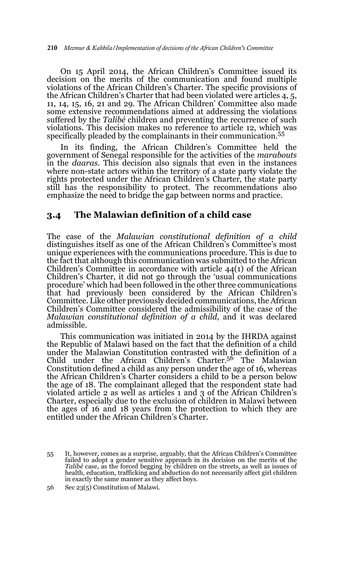On 15 April 2014, the African Children's Committee issued its decision on the merits of the communication and found multiple violations of the African Children's Charter. The specific provisions of the African Children's Charter that had been violated were articles 4, 5, 11, 14, 15, 16, 21 and 29. The African Children' Committee also made some extensive recommendations aimed at addressing the violations suffered by the *Talibé* children and preventing the recurrence of such violations. This decision makes no reference to article 12, which was specifically pleaded by the complainants in their communication.<sup>55</sup>

In its finding, the African Children's Committee held the government of Senegal responsible for the activities of the *marabouts* in the *daaras*. This decision also signals that even in the instances where non-state actors within the territory of a state party violate the rights protected under the African Children's Charter, the state party still has the responsibility to protect. The recommendations also emphasize the need to bridge the gap between norms and practice.

### **3.4 The Malawian definition of a child case**

The case of the *Malawian constitutional definition of a child* distinguishes itself as one of the African Children's Committee's most unique experiences with the communications procedure. This is due to the fact that although this communication was submitted to the African Children's Committee in accordance with article 44(1) of the African Children's Charter, it did not go through the 'usual communications procedure' which had been followed in the other three communications that had previously been considered by the African Children's Committee. Like other previously decided communications, the African Children's Committee considered the admissibility of the case of the *Malawian constitutional definition of a child,* and it was declared admissible.

This communication was initiated in 2014 by the IHRDA against the Republic of Malawi based on the fact that the definition of a child under the Malawian Constitution contrasted with the definition of a Child under the African Children's Charter.56 The Malawian Constitution defined a child as any person under the age of 16, whereas the African Children's Charter considers a child to be a person below the age of 18. The complainant alleged that the respondent state had violated article 2 as well as articles 1 and 3 of the African Children's Charter, especially due to the exclusion of children in Malawi between the ages of 16 and 18 years from the protection to which they are entitled under the African Children's Charter.

<sup>55</sup> It, however, comes as a surprise, arguably, that the African Children's Committee failed to adopt a gender sensitive approach in its decision on the merits of the *Talibé* case, as the forced begging by children on the streets, as well as issues of health, education, trafficking and abduction do not necessarily affect girl children in exactly the same manner as they affect boys.

<sup>56</sup> Sec 23(5) Constitution of Malawi.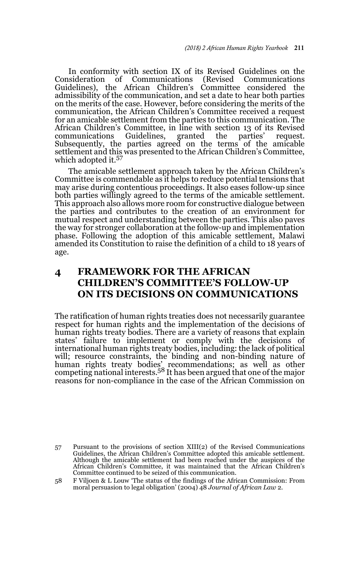In conformity with section IX of its Revised Guidelines on the Consideration of Communications (Revised Communications of Communications (Revised Guidelines), the African Children's Committee considered the admissibility of the communication, and set a date to hear both parties on the merits of the case. However, before considering the merits of the communication, the African Children's Committee received a request for an amicable settlement from the parties to this communication. The African Children's Committee, in line with section 13 of its Revised communications Guidelines, granted the parties' request. communications Guidelines, granted the parties' request. Subsequently, the parties agreed on the terms of the amicable settlement and this was presented to the African Children's Committee, which adopted it.<sup>57</sup>

The amicable settlement approach taken by the African Children's Committee is commendable as it helps to reduce potential tensions that may arise during contentious proceedings. It also eases follow-up since both parties willingly agreed to the terms of the amicable settlement. This approach also allows more room for constructive dialogue between the parties and contributes to the creation of an environment for mutual respect and understanding between the parties. This also paves the way for stronger collaboration at the follow-up and implementation phase. Following the adoption of this amicable settlement, Malawi amended its Constitution to raise the definition of a child to 18 years of age.

## **4 FRAMEWORK FOR THE AFRICAN CHILDREN'S COMMITTEE'S FOLLOW-UP ON ITS DECISIONS ON COMMUNICATIONS**

The ratification of human rights treaties does not necessarily guarantee respect for human rights and the implementation of the decisions of human rights treaty bodies. There are a variety of reasons that explain states' failure to implement or comply with the decisions of international human rights treaty bodies, including: the lack of political will; resource constraints, the binding and non-binding nature of human rights treaty bodies' recommendations; as well as other<br>competing national interests.<sup>58</sup> It has been argued that one of the major reasons for non-compliance in the case of the African Commission on

<sup>57</sup> Pursuant to the provisions of section XIII(2) of the Revised Communications Guidelines, the African Children's Committee adopted this amicable settlement. Although the amicable settlement had been reached under the auspices of the African Children's Committee, it was maintained that the African Children's Committee continued to be seized of this communication.

<sup>58</sup> F Viljoen & L Louw 'The status of the findings of the African Commission: From moral persuasion to legal obligation' (2004) 48 *Journal of African Law* 2.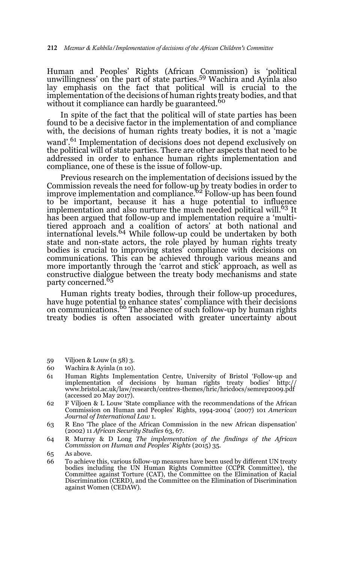Human and Peoples' Rights (African Commission) is 'political unwillingness' on the part of state parties.59 Wachira and Ayinla also lay emphasis on the fact that political will is crucial to the implementation of the decisions of human rights treaty bodies, and that without it compliance can hardly be guaranteed.<sup>60</sup>

In spite of the fact that the political will of state parties has been found to be a decisive factor in the implementation of and compliance with, the decisions of human rights treaty bodies, it is not a magic

wand'.<sup>61</sup> Implementation of decisions does not depend exclusively on the political will of state parties. There are other aspects that need to be addressed in order to enhance human rights implementation and compliance, one of these is the issue of follow-up.

Previous research on the implementation of decisions issued by the Commission reveals the need for follow-up by treaty bodies in order to<br>improve implementation and compliance.<sup>62</sup> Follow-up has been found to be important, because it has a huge potential to influence implementation and also nurture the much needed political will.<sup>63</sup> It has been argued that follow-up and implementation require a 'multitiered approach and a coalition of actors' at both national and international levels.<sup>64</sup> While follow-up could be undertaken by both state and non-state actors, the role played by human rights treaty bodies is crucial to improving states' compliance with decisions on communications. This can be achieved through various means and more importantly through the 'carrot and stick' approach, as well as constructive dialogue between the treaty body mechanisms and state party concerned.<sup>65</sup>

Human rights treaty bodies, through their follow-up procedures, have huge potential to enhance states' compliance with their decisions on communications.<sup>66</sup> The absence of such follow-up by human rights treaty bodies is often associated with greater uncertainty about

- 59 Viljoen & Louw (n 58) 3.
- 60 Wachira & Ayinla (n 10).
- 61 Human Rights Implementation Centre, University of Bristol 'Follow-up and implementation of decisions by human rights treaty bodies' http:// www.bristol.ac.uk/law/research/centres-themes/hric/hricdocs/semrep2009.pdf (accessed 20 May 2017).
- 62 F Viljoen & L Louw 'State compliance with the recommendations of the African Commission on Human and Peoples' Rights, 1994-2004' (2007) 101 *American Journal of International Law* 1.
- 63 R Eno 'The place of the African Commission in the new African dispensation' (2002) 11 *African Security Studies* 63, 67.

64 R Murray & D Long *The implementation of the findings of the African Commission on Human and Peoples' Rights* (2015) 35.

- 65 As above.
- 66 To achieve this, various follow-up measures have been used by different UN treaty bodies including the UN Human Rights Committee (CCPR Committee), the Committee against Torture (CAT), the Committee on the Elimination of Racial Discrimination (CERD), and the Committee on the Elimination of Discrimination against Women (CEDAW).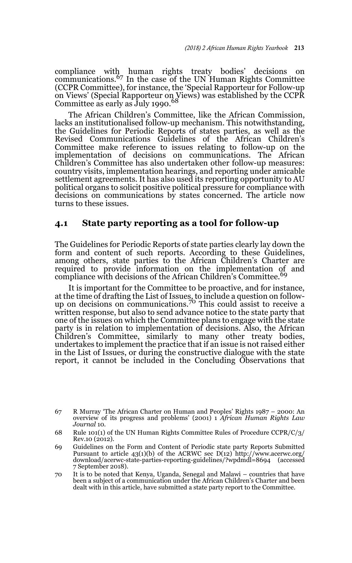compliance with human rights treaty bodies' decisions on communications.67 In the case of the UN Human Rights Committee (CCPR Committee), for instance, the 'Special Rapporteur for Follow-up on Views' (Special Rapporteur on Views) was established by the CCPR Committee as early as July 1990.<sup>68</sup>

The African Children's Committee, like the African Commission, lacks an institutionalised follow-up mechanism. This notwithstanding, the Guidelines for Periodic Reports of states parties, as well as the Revised Communications Guidelines of the African Children's Committee make reference to issues relating to follow-up on the implementation of decisions on communications. The African Children's Committee has also undertaken other follow-up measures: country visits, implementation hearings, and reporting under amicable settlement agreements. It has also used its reporting opportunity to AU political organs to solicit positive political pressure for compliance with decisions on communications by states concerned. The article now turns to these issues.

#### **4.1 State party reporting as a tool for follow-up**

The Guidelines for Periodic Reports of state parties clearly lay down the form and content of such reports. According to these Guidelines, among others, state parties to the African Children's Charter are required to provide information on the implementation of and compliance with decisions of the African Children's Committee.<sup>69</sup>

It is important for the Committee to be proactive, and for instance, at the time of drafting the List of Issues, to include a question on follow-<br>up on decisions on communications.<sup>70</sup> This could assist to receive a written response, but also to send advance notice to the state party that one of the issues on which the Committee plans to engage with the state party is in relation to implementation of decisions. Also, the African Children's Committee, similarly to many other treaty bodies, undertakes to implement the practice that if an issue is not raised either in the List of Issues, or during the constructive dialogue with the state report, it cannot be included in the Concluding Observations that

<sup>67</sup> R Murray 'The African Charter on Human and Peoples' Rights 1987 – 2000: An overview of its progress and problems' (2001) 1 *African Human Rights Law Journal* 10.

<sup>68</sup> Rule 101(1) of the UN Human Rights Committee Rules of Procedure CCPR/C/3/ Rev.10 (2012).

<sup>69</sup> Guidelines on the Form and Content of Periodic state party Reports Submitted Pursuant to article  $43(1)(b)$  of the ACRWC sec D(12) http://www.acerwc.org/ download/acerwc-state-parties-reporting-guidelines/?wpdmdl=8694 (accessed 7 September 2018).

<sup>70</sup> It is to be noted that Kenya, Uganda, Senegal and Malawi – countries that have been a subject of a communication under the African Children's Charter and been dealt with in this article, have submitted a state party report to the Committee.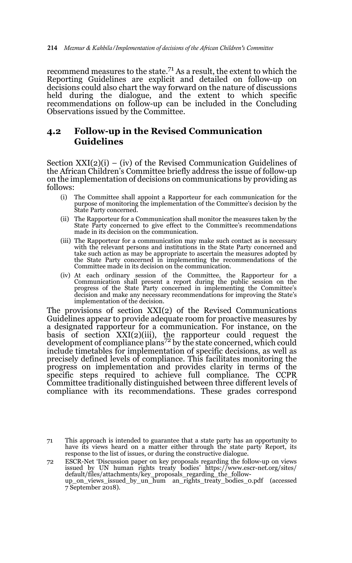recommend measures to the state.71 As a result, the extent to which the Reporting Guidelines are explicit and detailed on follow-up on decisions could also chart the way forward on the nature of discussions held during the dialogue, and the extent to which specific recommendations on follow-up can be included in the Concluding Observations issued by the Committee.

## **4.2 Follow-up in the Revised Communication Guidelines**

Section XXI(2)(i) – (iv) of the Revised Communication Guidelines of the African Children's Committee briefly address the issue of follow-up on the implementation of decisions on communications by providing as follows:

- (i) The Committee shall appoint a Rapporteur for each communication for the purpose of monitoring the implementation of the Committee's decision by the State Party concerned.
- (ii) The Rapporteur for a Communication shall monitor the measures taken by the State Party concerned to give effect to the Committee's recommendations made in its decision on the communication.
- (iii) The Rapporteur for a communication may make such contact as is necessary with the relevant persons and institutions in the State Party concerned and take such action as may be appropriate to ascertain the measures adopted by the State Party concerned in implementing the recommendations of the Committee made in its decision on the communication.
- (iv) At each ordinary session of the Committee, the Rapporteur for a Communication shall present a report during the public session on the progress of the State Party concerned in implementing the Committee's decision and make any necessary recommendations for improving the State's implementation of the decision.

The provisions of section XXI(2) of the Revised Communications Guidelines appear to provide adequate room for proactive measures by a designated rapporteur for a communication. For instance, on the basis of section XXI(2)(iii), the rapporteur could request the development of compliance plans<sup>72</sup> by the state concerned, which could include timetables for implementation of specific decisions, as well as precisely defined levels of compliance. This facilitates monitoring the progress on implementation and provides clarity in terms of the specific steps required to achieve full compliance. The CCPR Committee traditionally distinguished between three different levels of compliance with its recommendations. These grades correspond

<sup>71</sup> This approach is intended to guarantee that a state party has an opportunity to have its views heard on a matter either through the state party Report, its response to the list of issues, or during the constructive dialogue.

<sup>72</sup> ESCR-Net 'Discussion paper on key proposals regarding the follow-up on views issued by UN human rights treaty bodies' https://www.escr-net.org/sites/ default/files/attachments/key\_proposals\_regarding\_the\_follow-up\_on\_views\_issued\_by\_un\_hum an\_rights\_treaty\_bodies\_0.pdf (accessed 7 September 2018).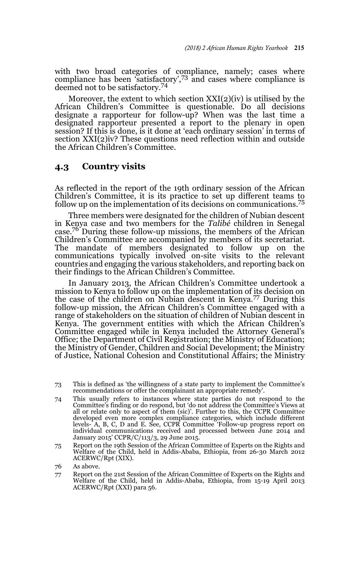with two broad categories of compliance, namely; cases where compliance has been 'satisfactory',73 and cases where compliance is deemed not to be satisfactory.<sup>74</sup>

Moreover, the extent to which section  $XXI(2)(iv)$  is utilised by the African Children's Committee is questionable. Do all decisions designate a rapporteur for follow-up? When was the last time a designated rapporteur presented a report to the plenary in open session? If this is done, is it done at 'each ordinary session' in terms of section XXI(2)iv? These questions need reflection within and outside the African Children's Committee.

#### **4.3 Country visits**

As reflected in the report of the 19th ordinary session of the African Children's Committee, it is its practice to set up different teams to follow up on the implementation of its decisions on communications.75

Three members were designated for the children of Nubian descent in Kenya case and two members for the *Talibé* children in Senegal case.76 During these follow-up missions, the members of the African Children's Committee are accompanied by members of its secretariat. The mandate of members designated to follow up on the communications typically involved on-site visits to the relevant countries and engaging the various stakeholders, and reporting back on their findings to the African Children's Committee.

In January 2013, the African Children's Committee undertook a mission to Kenya to follow up on the implementation of its decision on the case of the children on Nubian descent in Kenya.77 During this follow-up mission, the African Children's Committee engaged with a range of stakeholders on the situation of children of Nubian descent in Kenya. The government entities with which the African Children's Committee engaged while in Kenya included the Attorney General's Office; the Department of Civil Registration; the Ministry of Education; the Ministry of Gender, Children and Social Development; the Ministry of Justice, National Cohesion and Constitutional Affairs; the Ministry

- 74 This usually refers to instances where state parties do not respond to the Committee's finding or do respond, but 'do not address the Committee's Views at all or relate only to aspect of them (sic)'. Further to this, the CCPR Committee developed even more complex compliance categories, which include different levels- A, B, C, D and E. See, CCPR Committee 'Follow-up progress report on individual communications received and processed between June 2014 and January 2015' CCPR/C/113/3, 29 June 2015.
- 75 Report on the 19th Session of the African Committee of Experts on the Rights and Welfare of the Child, held in Addis-Ababa, Ethiopia, from 26-30 March 2012 ACERWC/Rpt (XIX).

77 Report on the 21st Session of the African Committee of Experts on the Rights and Welfare of the Child, held in Addis-Ababa, Ethiopia, from 15-19 April 2013 ACERWC/Rpt (XXI) para 56.

<sup>73</sup> This is defined as 'the willingness of a state party to implement the Committee's recommendations or offer the complainant an appropriate remedy'.

<sup>76</sup> As above.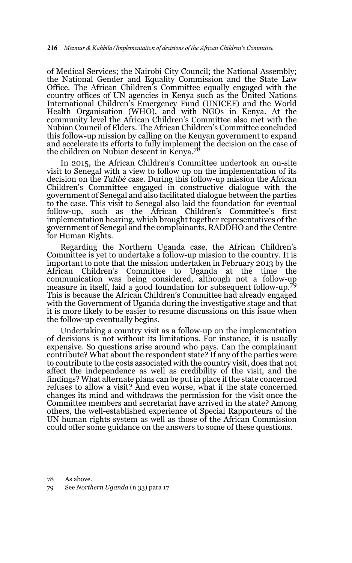of Medical Services; the Nairobi City Council; the National Assembly; the National Gender and Equality Commission and the State Law Office. The African Children's Committee equally engaged with the country offices of UN agencies in Kenya such as the United Nations International Children's Emergency Fund (UNICEF) and the World Health Organisation (WHO), and with NGOs in Kenya. At the community level the African Children's Committee also met with the Nubian Council of Elders. The African Children's Committee concluded this follow-up mission by calling on the Kenyan government to expand and accelerate its efforts to fully implement the decision on the case of the children on Nubian descent in Kenya.78

In 2015, the African Children's Committee undertook an on-site visit to Senegal with a view to follow up on the implementation of its decision on the *Talibé* case. During this follow-up mission the African Children's Committee engaged in constructive dialogue with the government of Senegal and also facilitated dialogue between the parties to the case. This visit to Senegal also laid the foundation for eventual follow-up, such as the African Children's Committee's first implementation hearing, which brought together representatives of the government of Senegal and the complainants, RADDHO and the Centre for Human Rights.

Regarding the Northern Uganda case, the African Children's Committee is yet to undertake a follow-up mission to the country. It is important to note that the mission undertaken in February 2013 by the African Children's Committee to communication was being considered, although not a follow-up measure in itself, laid a good foundation for subsequent follow-up.<sup>79</sup> This is because the African Children's Committee had already engaged with the Government of Uganda during the investigative stage and that it is more likely to be easier to resume discussions on this issue when the follow-up eventually begins.

Undertaking a country visit as a follow-up on the implementation of decisions is not without its limitations. For instance, it is usually expensive. So questions arise around who pays. Can the complainant contribute? What about the respondent state? If any of the parties were to contribute to the costs associated with the country visit, does that not affect the independence as well as credibility of the visit, and the findings? What alternate plans can be put in place if the state concerned refuses to allow a visit? And even worse, what if the state concerned changes its mind and withdraws the permission for the visit once the Committee members and secretariat have arrived in the state? Among others, the well-established experience of Special Rapporteurs of the UN human rights system as well as those of the African Commission could offer some guidance on the answers to some of these questions.

78 As above.

79 See *Northern Uganda* (n 33) para 17.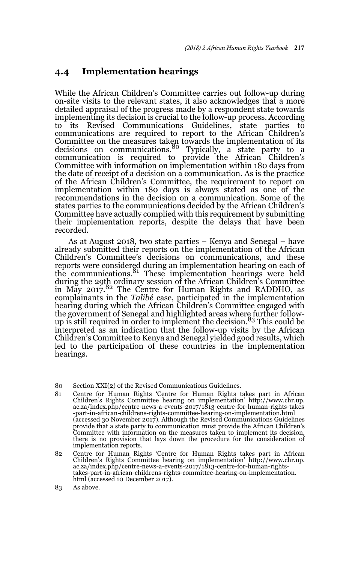### **4.4 Implementation hearings**

While the African Children's Committee carries out follow-up during on-site visits to the relevant states, it also acknowledges that a more detailed appraisal of the progress made by a respondent state towards implementing its decision is crucial to the follow-up process. According to its Revised Communications Guidelines, state parties to communications are required to report to the African Children's Committee on the measures taken towards the implementation of its decisions on communications.<sup>80</sup> Typically, a state party to a communication is required to provide the African Children's Committee with information on implementation within 180 days from the date of receipt of a decision on a communication. As is the practice of the African Children's Committee, the requirement to report on implementation within 180 days is always stated as one of the recommendations in the decision on a communication. Some of the states parties to the communications decided by the African Children's Committee have actually complied with this requirement by submitting their implementation reports, despite the delays that have been recorded.

As at August 2018, two state parties – Kenya and Senegal – have already submitted their reports on the implementation of the African Children's Committee's decisions on communications, and these reports were considered during an implementation hearing on each of<br>the communications.<sup>81</sup> These implementation hearings were held during the 29th ordinary session of the African Children's Committee in May  $2017^{82}$  The Centre for Human Rights and RADDHO, as complainants in the *Talibé* case, participated in the implementation hearing during which the African Children's Committee engaged with the government of Senegal and highlighted areas where further followup is still required in order to implement the decision.<sup>83</sup> This could be interpreted as an indication that the follow-up visits by the African Children's Committee to Kenya and Senegal yielded good results, which led to the participation of these countries in the implementation hearings.

- 81 Centre for Human Rights 'Centre for Human Rights takes part in African Children's Rights Committee hearing on implementation' http://www.chr.up. ac.za/index.php/centre-news-a-events-2017/1813-centre-for-human-rights-takes -part-in-african-childrens-rights-committee-hearing-on-implementation.html (accessed 30 November 2017). Although the Revised Communications Guidelines provide that a state party to communication must provide the African Children's Committee with information on the measures taken to implement its decision, there is no provision that lays down the procedure for the consideration of implementation reports.
- 82 Centre for Human Rights 'Centre for Human Rights takes part in African Children's Rights Committee hearing on implementation' http://www.chr.up. ac.za/index.php/centre-news-a-events-2017/1813-centre-for-human-rightstakes-part-in-african-childrens-rights-committee-hearing-on-implementation. html (accessed 10 December 2017).
- 83 As above.

<sup>80</sup> Section XXI(2) of the Revised Communications Guidelines.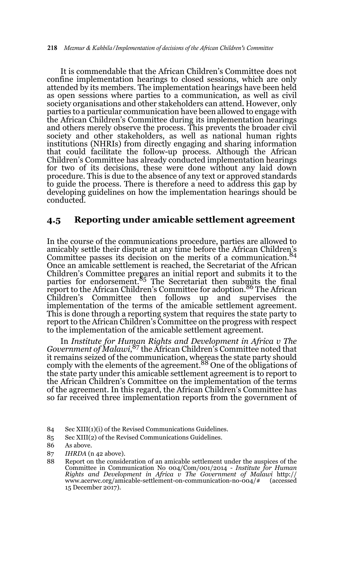It is commendable that the African Children's Committee does not confine implementation hearings to closed sessions, which are only attended by its members. The implementation hearings have been held as open sessions where parties to a communication, as well as civil society organisations and other stakeholders can attend. However, only parties to a particular communication have been allowed to engage with the African Children's Committee during its implementation hearings and others merely observe the process. This prevents the broader civil society and other stakeholders, as well as national human rights institutions (NHRIs) from directly engaging and sharing information that could facilitate the follow-up process. Although the African Children's Committee has already conducted implementation hearings for two of its decisions, these were done without any laid down procedure. This is due to the absence of any text or approved standards to guide the process. There is therefore a need to address this gap by developing guidelines on how the implementation hearings should be conducted.

### **4.5 Reporting under amicable settlement agreement**

In the course of the communications procedure, parties are allowed to amicably settle their dispute at any time before the African Children's Committee passes its decision on the merits of a communication.84 Once an amicable settlement is reached, the Secretariat of the African Children's Committee prepares an initial report and submits it to the parties for endorsement.85 The Secretariat then submits the final report to the African Children's Committee for adoption.<sup>86</sup> The African Children's Committee then follows up and supervises the implementation of the terms of the amicable settlement agreement. This is done through a reporting system that requires the state party to report to the African Children's Committee on the progress with respect to the implementation of the amicable settlement agreement.

In *Institute for Human Rights and Development in Africa v The Government of Malawi*, 87 the African Children's Committee noted that it remains seized of the communication, whereas the state party should<br>comply with the elements of the agreement.<sup>88</sup> One of the obligations of the state party under this amicable settlement agreement is to report to the African Children's Committee on the implementation of the terms of the agreement. In this regard, the African Children's Committee has so far received three implementation reports from the government of

<sup>84</sup> Sec XIII(1)(i) of the Revised Communications Guidelines.

<sup>85</sup> Sec XIII(2) of the Revised Communications Guidelines.

<sup>86</sup> As above.

<sup>87</sup> *IHRDA* (n 42 above).

<sup>88</sup> Report on the consideration of an amicable settlement under the auspices of the Committee in Communication No 004/Com/001/2014 - *Institute for Human Rights and Development in Africa v The Government of Malawi* http:// www.acerwc.org/amicable-settlement-on-communication-no-004/# (accessed 15 December 2017).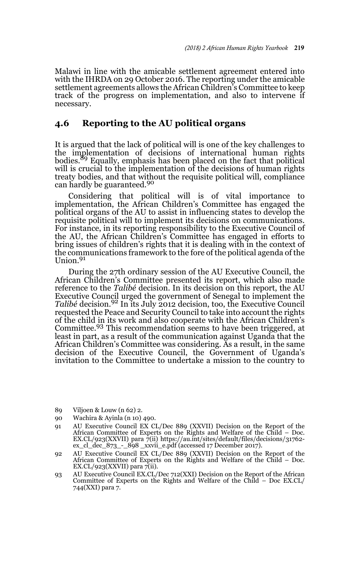Malawi in line with the amicable settlement agreement entered into with the IHRDA on 29 October 2016. The reporting under the amicable settlement agreements allows the African Children's Committee to keep track of the progress on implementation, and also to intervene if necessary.

### **4.6 Reporting to the AU political organs**

It is argued that the lack of political will is one of the key challenges to the implementation of decisions of international human rights bodies.89 Equally, emphasis has been placed on the fact that political will is crucial to the implementation of the decisions of human rights treaty bodies, and that without the requisite political will, compliance can hardly be guaranteed.<sup>90</sup>

Considering that political will is of vital importance to implementation, the African Children's Committee has engaged the political organs of the AU to assist in influencing states to develop the requisite political will to implement its decisions on communications. For instance, in its reporting responsibility to the Executive Council of the AU, the African Children's Committee has engaged in efforts to bring issues of children's rights that it is dealing with in the context of the communications framework to the fore of the political agenda of the Union.<sup>91</sup>

During the 27th ordinary session of the AU Executive Council, the African Children's Committee presented its report, which also made reference to the *Talibé* decision. In its decision on this report, the AU Executive Council urged the government of Senegal to implement the *Talibé* decision.92 In its July 2012 decision, too, the Executive Council requested the Peace and Security Council to take into account the rights of the child in its work and also cooperate with the African Children's Committee.<sup>93</sup> This recommendation seems to have been triggered, at least in part, as a result of the communication against Uganda that the African Children's Committee was considering. As a result, in the same decision of the Executive Council, the Government of Uganda's invitation to the Committee to undertake a mission to the country to

- 89 Viljoen & Louw (n 62) 2.
- 90 Wachira & Ayinla (n 10) 490.
- 91 AU Executive Council EX CL/Dec 889 (XXVII) Decision on the Report of the African Committee of Experts on the Rights and Welfare of the Child – Doc. EX.CL/923(XXVII) para 7(ii) https://au.int/sites/default/files/decisions/31762- ex\_cl\_dec\_873\_-\_898 \_xxvii\_e.pdf (accessed 17 December 2017).
- 92 AU Executive Council EX CL/Dec 889 (XXVII) Decision on the Report of the African Committee of Experts on the Rights and Welfare of the Child – Doc. EX.CL/923(XXVII) para 7(ii).
- 93 AU Executive Council EX.CL/Dec 712(XXI) Decision on the Report of the African Committee of Experts on the Rights and Welfare of the Child – Doc EX.CL/ 744(XXI) para 7.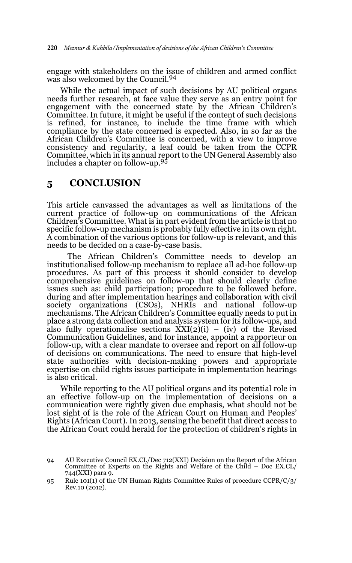engage with stakeholders on the issue of children and armed conflict was also welcomed by the Council.<sup>94</sup>

While the actual impact of such decisions by AU political organs needs further research, at face value they serve as an entry point for engagement with the concerned state by the African Children's Committee. In future, it might be useful if the content of such decisions is refined, for instance, to include the time frame with which compliance by the state concerned is expected. Also, in so far as the African Children's Committee is concerned, with a view to improve consistency and regularity, a leaf could be taken from the CCPR Committee, which in its annual report to the UN General Assembly also includes a chapter on follow-up.<sup>95</sup>

## **5 CONCLUSION**

This article canvassed the advantages as well as limitations of the current practice of follow-up on communications of the African Children's Committee. What is in part evident from the article is that no specific follow-up mechanism is probably fully effective in its own right. A combination of the various options for follow-up is relevant, and this needs to be decided on a case-by-case basis.

 The African Children's Committee needs to develop an institutionalised follow-up mechanism to replace all ad-hoc follow-up procedures. As part of this process it should consider to develop comprehensive guidelines on follow-up that should clearly define issues such as: child participation; procedure to be followed before, during and after implementation hearings and collaboration with civil society organizations (CSOs), NHRIs and national follow-up mechanisms. The African Children's Committee equally needs to put in place a strong data collection and analysis system for its follow-ups, and also fully operationalise sections  $XXI(2)(i) - (iv)$  of the Revised Communication Guidelines, and for instance, appoint a rapporteur on follow-up, with a clear mandate to oversee and report on all follow-up of decisions on communications. The need to ensure that high-level state authorities with decision-making powers and appropriate expertise on child rights issues participate in implementation hearings is also critical.

While reporting to the AU political organs and its potential role in an effective follow-up on the implementation of decisions on a communication were rightly given due emphasis, what should not be lost sight of is the role of the African Court on Human and Peoples' Rights (African Court). In 2013, sensing the benefit that direct access to the African Court could herald for the protection of children's rights in

<sup>94</sup> AU Executive Council EX.CL/Dec 712(XXI) Decision on the Report of the African Committee of Experts on the Rights and Welfare of the Child – Doc EX.CL/ 744(XXI) para 9.

<sup>95</sup> Rule 101(1) of the UN Human Rights Committee Rules of procedure CCPR/C/3/ Rev.10 (2012).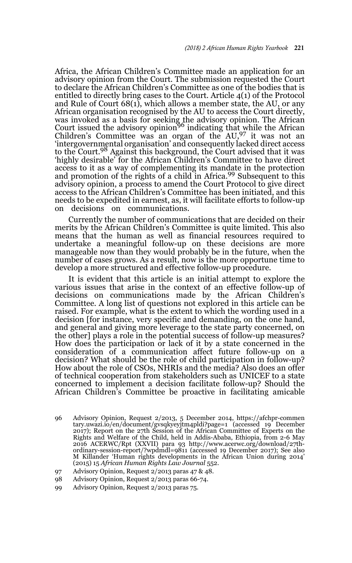Africa, the African Children's Committee made an application for an advisory opinion from the Court. The submission requested the Court to declare the African Children's Committee as one of the bodies that is entitled to directly bring cases to the Court. Article 4(1) of the Protocol and Rule of Court 68(1), which allows a member state, the AU, or any African organisation recognised by the AU to access the Court directly, was invoked as a basis for seeking the advisory opinion. The African<br>Court issued the advisory opinion<sup>96</sup> indicating that while the African Children's Committee was an organ of the AU,97 it was not an 'intergovernmental organisation' and consequently lacked direct access to the Court.98 Against this background, the Court advised that it was 'highly desirable' for the African Children's Committee to have direct access to it as a way of complementing its mandate in the protection and promotion of the rights of a child in Africa.<sup>99</sup> Subsequent to this advisory opinion, a process to amend the Court Protocol to give direct access to the African Children's Committee has been initiated, and this needs to be expedited in earnest, as, it will facilitate efforts to follow-up on decisions on communications.

Currently the number of communications that are decided on their merits by the African Children's Committee is quite limited. This also means that the human as well as financial resources required to undertake a meaningful follow-up on these decisions are more manageable now than they would probably be in the future, when the number of cases grows. As a result, now is the more opportune time to develop a more structured and effective follow-up procedure.

It is evident that this article is an initial attempt to explore the various issues that arise in the context of an effective follow-up of decisions on communications made by the African Children's Committee. A long list of questions not explored in this article can be raised. For example, what is the extent to which the wording used in a decision [for instance, very specific and demanding, on the one hand, and general and giving more leverage to the state party concerned, on the other] plays a role in the potential success of follow-up measures? How does the participation or lack of it by a state concerned in the consideration of a communication affect future follow-up on a decision? What should be the role of child participation in follow-up? How about the role of CSOs, NHRIs and the media? Also does an offer of technical cooperation from stakeholders such as UNICEF to a state concerned to implement a decision facilitate follow-up? Should the African Children's Committee be proactive in facilitating amicable

99 Advisory Opinion, Request 2/2013 paras 75.

<sup>96</sup> Advisory Opinion, Request 2/2013, 5 December 2014, https://afchpr-commen tary.uwazi.io/en/document/gvsqkyeyjtm4pldi?page=1 (accessed 19 December 2017); Report on the 27th Session of the African Committee of Experts on the Rights and Welfare of the Child, held in Addis-Ababa, Ethiopia, from 2-6 May 2016 ACERWC/Rpt (XXVII) para 93 http://www.acerwc.org/download/27thordinary-session-report/?wpdmdl=9811 (accessed 19 December 2017); See also M Killander 'Human rights developments in the African Union during 2014' (2015) 15 *African Human Rights Law Journal* 552.

<sup>97</sup> Advisory Opinion, Request 2/2013 paras 47 & 48.

<sup>98</sup> Advisory Opinion, Request 2/2013 paras 66-74.